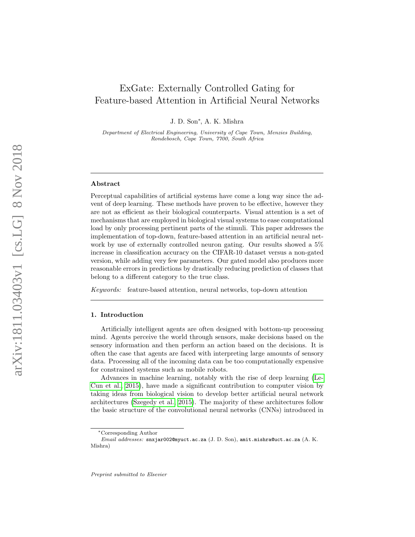# ExGate: Externally Controlled Gating for Feature-based Attention in Artificial Neural Networks

J. D. Son\*, A. K. Mishra

Department of Electrical Engineering, University of Cape Town, Menzies Building, Rondebosch, Cape Town, 7700, South Africa

#### Abstract

Perceptual capabilities of artificial systems have come a long way since the advent of deep learning. These methods have proven to be effective, however they are not as efficient as their biological counterparts. Visual attention is a set of mechanisms that are employed in biological visual systems to ease computational load by only processing pertinent parts of the stimuli. This paper addresses the implementation of top-down, feature-based attention in an artificial neural network by use of externally controlled neuron gating. Our results showed a 5% increase in classification accuracy on the CIFAR-10 dataset versus a non-gated version, while adding very few parameters. Our gated model also produces more reasonable errors in predictions by drastically reducing prediction of classes that belong to a different category to the true class.

Keywords: feature-based attention, neural networks, top-down attention

#### 1. Introduction

Artificially intelligent agents are often designed with bottom-up processing mind. Agents perceive the world through sensors, make decisions based on the sensory information and then perform an action based on the decisions. It is often the case that agents are faced with interpreting large amounts of sensory data. Processing all of the incoming data can be too computationally expensive for constrained systems such as mobile robots.

Advances in machine learning, notably with the rise of deep learning [\(Le-](#page-12-0)[Cun et al., 2015\)](#page-12-0), have made a significant contribution to computer vision by taking ideas from biological vision to develop better artificial neural network architectures [\(Szegedy et al., 2015\)](#page-12-1). The majority of these architectures follow the basic structure of the convolutional neural networks (CNNs) introduced in

<sup>∗</sup>Corresponding Author

Email addresses: snxjar002@myuct.ac.za (J. D. Son), amit.mishra@uct.ac.za (A. K. Mishra)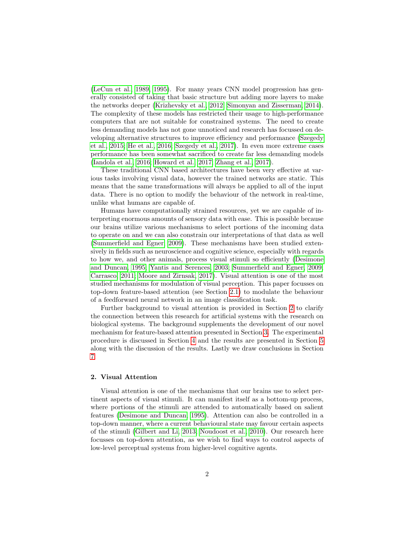[\(LeCun et al., 1989,](#page-12-2) [1995\)](#page-12-3). For many years CNN model progression has generally consisted of taking that basic structure but adding more layers to make the networks deeper [\(Krizhevsky et al., 2012;](#page-12-4) [Simonyan and Zisserman, 2014\)](#page-12-5). The complexity of these models has restricted their usage to high-performance computers that are not suitable for constrained systems. The need to create less demanding models has not gone unnoticed and research has focussed on developing alternative structures to improve efficiency and performance [\(Szegedy](#page-12-1) [et al., 2015;](#page-12-1) [He et al., 2016;](#page-11-0) [Szegedy et al., 2017\)](#page-12-6). In even more extreme cases performance has been somewhat sacrificed to create far less demanding models [\(Iandola et al., 2016;](#page-12-7) [Howard et al., 2017;](#page-11-1) [Zhang et al., 2017\)](#page-13-0).

These traditional CNN based architectures have been very effective at various tasks involving visual data, however the trained networks are static. This means that the same transformations will always be applied to all of the input data. There is no option to modify the behaviour of the network in real-time, unlike what humans are capable of.

Humans have computationally strained resources, yet we are capable of interpreting enormous amounts of sensory data with ease. This is possible because our brains utilize various mechanisms to select portions of the incoming data to operate on and we can also constrain our interpretations of that data as well [\(Summerfield and Egner, 2009\)](#page-12-8). These mechanisms have been studied extensively in fields such as neuroscience and cognitive science, especially with regards to how we, and other animals, process visual stimuli so efficiently [\(Desimone](#page-11-2) [and Duncan, 1995;](#page-11-2) [Yantis and Serences, 2003;](#page-13-1) [Summerfield and Egner, 2009;](#page-12-8) [Carrasco, 2011;](#page-11-3) [Moore and Zirnsak, 2017\)](#page-12-9). Visual attention is one of the most studied mechanisms for modulation of visual perception. This paper focusses on top-down feature-based attention (see Section [2.1\)](#page-2-0) to modulate the behaviour of a feedforward neural network in an image classification task.

Further background to visual attention is provided in Section [2](#page-1-0) to clarify the connection between this research for artificial systems with the research on biological systems. The background supplements the development of our novel mechanism for feature-based attention presented in Section [3.](#page-2-1) The experimental procedure is discussed in Section [4](#page-5-0) and the results are presented in Section [5](#page-7-0) along with the discussion of the results. Lastly we draw conclusions in Section [7.](#page-11-4)

### <span id="page-1-0"></span>2. Visual Attention

Visual attention is one of the mechanisms that our brains use to select pertinent aspects of visual stimuli. It can manifest itself as a bottom-up process, where portions of the stimuli are attended to automatically based on salient features [\(Desimone and Duncan, 1995\)](#page-11-2). Attention can also be controlled in a top-down manner, where a current behavioural state may favour certain aspects of the stimuli [\(Gilbert and Li, 2013;](#page-11-5) [Noudoost et al., 2010\)](#page-12-10). Our research here focusses on top-down attention, as we wish to find ways to control aspects of low-level perceptual systems from higher-level cognitive agents.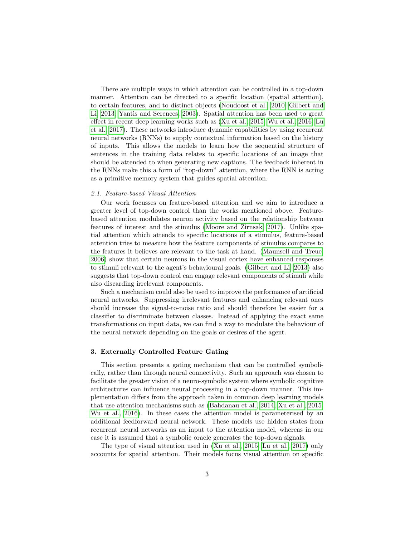There are multiple ways in which attention can be controlled in a top-down manner. Attention can be directed to a specific location (spatial attention), to certain features, and to distinct objects [\(Noudoost et al., 2010;](#page-12-10) [Gilbert and](#page-11-5) [Li, 2013;](#page-11-5) [Yantis and Serences, 2003\)](#page-13-1). Spatial attention has been used to great effect in recent deep learning works such as [\(Xu et al., 2015;](#page-13-2) [Wu et al., 2016;](#page-13-3) [Lu](#page-12-11) [et al., 2017\)](#page-12-11). These networks introduce dynamic capabilities by using recurrent neural networks (RNNs) to supply contextual information based on the history of inputs. This allows the models to learn how the sequential structure of sentences in the training data relates to specific locations of an image that should be attended to when generating new captions. The feedback inherent in the RNNs make this a form of "top-down" attention, where the RNN is acting as a primitive memory system that guides spatial attention.

## <span id="page-2-0"></span>2.1. Feature-based Visual Attention

Our work focusses on feature-based attention and we aim to introduce a greater level of top-down control than the works mentioned above. Featurebased attention modulates neuron activity based on the relationship between features of interest and the stimulus [\(Moore and Zirnsak, 2017\)](#page-12-9). Unlike spatial attention which attends to specific locations of a stimulus, feature-based attention tries to measure how the feature components of stimulus compares to the features it believes are relevant to the task at hand. [\(Maunsell and Treue,](#page-12-12) [2006\)](#page-12-12) show that certain neurons in the visual cortex have enhanced responses to stimuli relevant to the agent's behavioural goals. [\(Gilbert and Li, 2013\)](#page-11-5) also suggests that top-down control can engage relevant components of stimuli while also discarding irrelevant components.

Such a mechanism could also be used to improve the performance of artificial neural networks. Suppressing irrelevant features and enhancing relevant ones should increase the signal-to-noise ratio and should therefore be easier for a classifier to discriminate between classes. Instead of applying the exact same transformations on input data, we can find a way to modulate the behaviour of the neural network depending on the goals or desires of the agent.

## <span id="page-2-1"></span>3. Externally Controlled Feature Gating

This section presents a gating mechanism that can be controlled symbolically, rather than through neural connectivity. Such an approach was chosen to facilitate the greater vision of a neuro-symbolic system where symbolic cognitive architectures can influence neural processing in a top-down manner. This implementation differs from the approach taken in common deep learning models that use attention mechanisms such as [\(Bahdanau et al., 2014;](#page-11-6) [Xu et al., 2015;](#page-13-2) [Wu et al., 2016\)](#page-13-3). In these cases the attention model is parameterised by an additional feedforward neural network. These models use hidden states from recurrent neural networks as an input to the attention model, whereas in our case it is assumed that a symbolic oracle generates the top-down signals.

The type of visual attention used in [\(Xu et al., 2015;](#page-13-2) [Lu et al., 2017\)](#page-12-11) only accounts for spatial attention. Their models focus visual attention on specific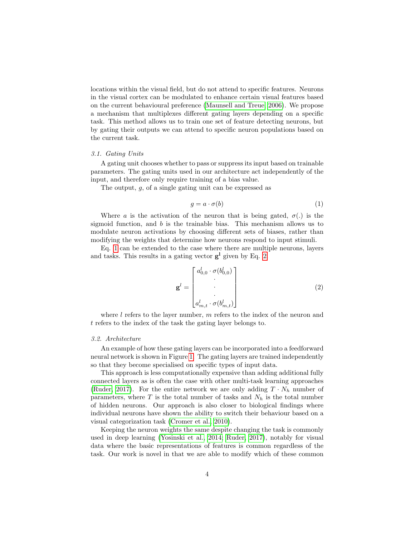locations within the visual field, but do not attend to specific features. Neurons in the visual cortex can be modulated to enhance certain visual features based on the current behavioural preference [\(Maunsell and Treue, 2006\)](#page-12-12). We propose a mechanism that multiplexes different gating layers depending on a specific task. This method allows us to train one set of feature detecting neurons, but by gating their outputs we can attend to specific neuron populations based on the current task.

#### 3.1. Gating Units

A gating unit chooses whether to pass or suppress its input based on trainable parameters. The gating units used in our architecture act independently of the input, and therefore only require training of a bias value.

The output, g, of a single gating unit can be expressed as

<span id="page-3-0"></span>
$$
g = a \cdot \sigma(b) \tag{1}
$$

Where a is the activation of the neuron that is being gated,  $\sigma(.)$  is the sigmoid function, and  $b$  is the trainable bias. This mechanism allows us to modulate neuron activations by choosing different sets of biases, rather than modifying the weights that determine how neurons respond to input stimuli.

Eq. [1](#page-3-0) can be extended to the case where there are multiple neurons, layers and tasks. This results in a gating vector  $g<sup>1</sup>$  given by Eq. [2.](#page-3-1)

<span id="page-3-1"></span>
$$
\mathbf{g}^{l} = \begin{bmatrix} a_{0,0}^{l} \cdot \sigma(b_{0,0}^{l}) \\ \vdots \\ a_{m,t}^{l} \cdot \sigma(b_{m,t}^{l}) \end{bmatrix}
$$
 (2)

where  $l$  refers to the layer number,  $m$  refers to the index of the neuron and t refers to the index of the task the gating layer belongs to.

# 3.2. Architecture

An example of how these gating layers can be incorporated into a feedforward neural network is shown in Figure [1.](#page-4-0) The gating layers are trained independently so that they become specialised on specific types of input data.

This approach is less computationally expensive than adding additional fully connected layers as is often the case with other multi-task learning approaches [\(Ruder, 2017\)](#page-12-13). For the entire network we are only adding  $T \cdot N_h$  number of parameters, where  $T$  is the total number of tasks and  $N_h$  is the total number of hidden neurons. Our approach is also closer to biological findings where individual neurons have shown the ability to switch their behaviour based on a visual categorization task [\(Cromer et al., 2010\)](#page-11-7).

Keeping the neuron weights the same despite changing the task is commonly used in deep learning [\(Yosinski et al., 2014;](#page-13-4) [Ruder, 2017\)](#page-12-13), notably for visual data where the basic representations of features is common regardless of the task. Our work is novel in that we are able to modify which of these common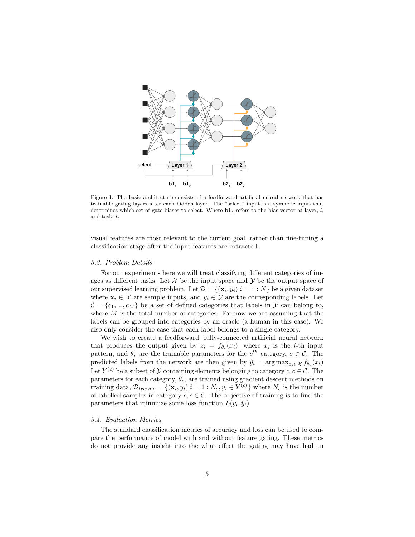<span id="page-4-0"></span>

Figure 1: The basic architecture consists of a feedforward artificial neural network that has trainable gating layers after each hidden layer. The "select" input is a symbolic input that determines which set of gate biases to select. Where  $\mathbf{b}_n$  refers to the bias vector at layer, l, and task, t.

visual features are most relevant to the current goal, rather than fine-tuning a classification stage after the input features are extracted.

#### 3.3. Problem Details

For our experiments here we will treat classifying different categories of images as different tasks. Let  $\mathcal X$  be the input space and  $\mathcal Y$  be the output space of our supervised learning problem. Let  $\mathcal{D} = \{(\mathbf{x}_i, y_i)|i = 1:N\}$  be a given dataset where  $\mathbf{x}_i \in \mathcal{X}$  are sample inputs, and  $y_i \in \mathcal{Y}$  are the corresponding labels. Let  $\mathcal{C} = \{c_1, ..., c_M\}$  be a set of defined categories that labels in  $\mathcal{Y}$  can belong to, where  $M$  is the total number of categories. For now we are assuming that the labels can be grouped into categories by an oracle (a human in this case). We also only consider the case that each label belongs to a single category.

We wish to create a feedforward, fully-connected artificial neural network that produces the output given by  $z_i = f_{\theta_c}(x_i)$ , where  $x_i$  is the *i*-th input pattern, and  $\theta_c$  are the trainable parameters for the  $c^{th}$  category,  $c \in \mathcal{C}$ . The predicted labels from the network are then given by  $\hat{y}_i = \arg \max_{x_i \in \mathcal{X}} f_{\theta_c}(x_i)$ Let  $Y^{(c)}$  be a subset of  $\mathcal Y$  containing elements belonging to category  $c, c \in \mathcal C$ . The parameters for each category,  $\theta_c$ , are trained using gradient descent methods on training data,  $\mathcal{D}_{train,c} = \{(\mathbf{x}_i, y_i)|i = 1 : N_c, y_i \in Y^{(c)}\}\$  where  $N_c$  is the number of labelled samples in category  $c, c \in \mathcal{C}$ . The objective of training is to find the parameters that minimize some loss function  $L(y_i, \hat{y}_i)$ .

## 3.4. Evaluation Metrics

The standard classification metrics of accuracy and loss can be used to compare the performance of model with and without feature gating. These metrics do not provide any insight into the what effect the gating may have had on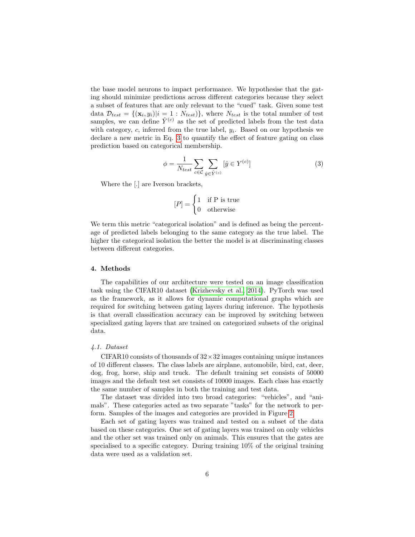the base model neurons to impact performance. We hypothesise that the gating should minimize predictions across different categories because they select a subset of features that are only relevant to the "cued" task. Given some test data  $\mathcal{D}_{test} = \{(\mathbf{x}_i, y_i)|i = 1 : N_{test}\}\$ , where  $N_{test}$  is the total number of test samples, we can define  $\hat{Y}^{(c)}$  as the set of predicted labels from the test data with category,  $c$ , inferred from the true label,  $y_i$ . Based on our hypothesis we declare a new metric in Eq. [3](#page-5-1) to quantify the effect of feature gating on class prediction based on categorical membership.

<span id="page-5-1"></span>
$$
\phi = \frac{1}{N_{test}} \sum_{c \in \mathcal{C}} \sum_{\hat{y} \in \hat{Y}^{(c)}} [\hat{y} \in Y^{(c)}]
$$
\n(3)

Where the [.] are Iverson brackets,

$$
[P] = \begin{cases} 1 & \text{if } P \text{ is true} \\ 0 & \text{otherwise} \end{cases}
$$

We term this metric "categorical isolation" and is defined as being the percentage of predicted labels belonging to the same category as the true label. The higher the categorical isolation the better the model is at discriminating classes between different categories.

## <span id="page-5-0"></span>4. Methods

The capabilities of our architecture were tested on an image classification task using the CIFAR10 dataset [\(Krizhevsky et al., 2014\)](#page-12-14). PyTorch was used as the framework, as it allows for dynamic computational graphs which are required for switching between gating layers during inference. The hypothesis is that overall classification accuracy can be improved by switching between specialized gating layers that are trained on categorized subsets of the original data.

## 4.1. Dataset

CIFAR10 consists of thousands of  $32 \times 32$  images containing unique instances of 10 different classes. The class labels are airplane, automobile, bird, cat, deer, dog, frog, horse, ship and truck. The default training set consists of 50000 images and the default test set consists of 10000 images. Each class has exactly the same number of samples in both the training and test data.

The dataset was divided into two broad categories: "vehicles", and "animals". These categories acted as two separate "tasks" for the network to perform. Samples of the images and categories are provided in Figure [2.](#page-6-0)

Each set of gating layers was trained and tested on a subset of the data based on these categories. One set of gating layers was trained on only vehicles and the other set was trained only on animals. This ensures that the gates are specialised to a specific category. During training 10% of the original training data were used as a validation set.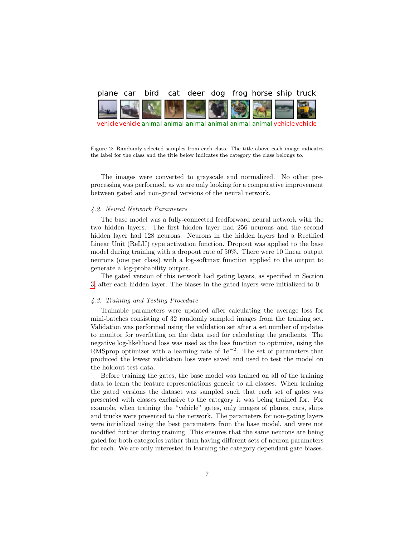<span id="page-6-0"></span>

vehicle vehicle animal animal animal animal animal animal vehicle vehicle

Figure 2: Randomly selected samples from each class. The title above each image indicates the label for the class and the title below indicates the category the class belongs to.

The images were converted to grayscale and normalized. No other preprocessing was performed, as we are only looking for a comparative improvement between gated and non-gated versions of the neural network.

# 4.2. Neural Network Parameters

The base model was a fully-connected feedforward neural network with the two hidden layers. The first hidden layer had 256 neurons and the second hidden layer had 128 neurons. Neurons in the hidden layers had a Rectified Linear Unit (ReLU) type activation function. Dropout was applied to the base model during training with a dropout rate of 50%. There were 10 linear output neurons (one per class) with a log-softmax function applied to the output to generate a log-probability output.

The gated version of this network had gating layers, as specified in Section [3,](#page-2-1) after each hidden layer. The biases in the gated layers were initialized to 0.

### 4.3. Training and Testing Procedure

Trainable parameters were updated after calculating the average loss for mini-batches consisting of 32 randomly sampled images from the training set. Validation was performed using the validation set after a set number of updates to monitor for overfitting on the data used for calculating the gradients. The negative log-likelihood loss was used as the loss function to optimize, using the RMSprop optimizer with a learning rate of  $1e^{-2}$ . The set of parameters that produced the lowest validation loss were saved and used to test the model on the holdout test data.

Before training the gates, the base model was trained on all of the training data to learn the feature representations generic to all classes. When training the gated versions the dataset was sampled such that each set of gates was presented with classes exclusive to the category it was being trained for. For example, when training the "vehicle" gates, only images of planes, cars, ships and trucks were presented to the network. The parameters for non-gating layers were initialized using the best parameters from the base model, and were not modified further during training. This ensures that the same neurons are being gated for both categories rather than having different sets of neuron parameters for each. We are only interested in learning the category dependant gate biases.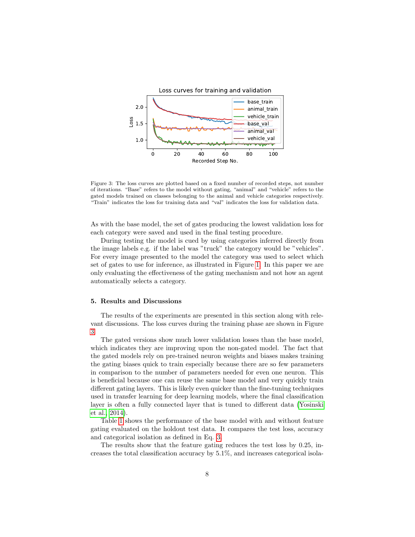<span id="page-7-1"></span>

Figure 3: The loss curves are plotted based on a fixed number of recorded steps, not number of iterations. "Base" refers to the model without gating, "animal" and "vehicle" refers to the gated models trained on classes belonging to the animal and vehicle categories respectively. "Train" indicates the loss for training data and "val" indicates the loss for validation data.

As with the base model, the set of gates producing the lowest validation loss for each category were saved and used in the final testing procedure.

During testing the model is cued by using categories inferred directly from the image labels e.g. if the label was "truck" the category would be "vehicles". For every image presented to the model the category was used to select which set of gates to use for inference, as illustrated in Figure [1.](#page-4-0) In this paper we are only evaluating the effectiveness of the gating mechanism and not how an agent automatically selects a category.

# <span id="page-7-0"></span>5. Results and Discussions

The results of the experiments are presented in this section along with relevant discussions. The loss curves during the training phase are shown in Figure [3.](#page-7-1)

The gated versions show much lower validation losses than the base model, which indicates they are improving upon the non-gated model. The fact that the gated models rely on pre-trained neuron weights and biases makes training the gating biases quick to train especially because there are so few parameters in comparison to the number of parameters needed for even one neuron. This is beneficial because one can reuse the same base model and very quickly train different gating layers. This is likely even quicker than the fine-tuning techniques used in transfer learning for deep learning models, where the final classification layer is often a fully connected layer that is tuned to different data [\(Yosinski](#page-13-4) [et al., 2014\)](#page-13-4).

Table [1](#page-8-0) shows the performance of the base model with and without feature gating evaluated on the holdout test data. It compares the test loss, accuracy and categorical isolation as defined in Eq. [3.](#page-5-1)

The results show that the feature gating reduces the test loss by 0.25, increases the total classification accuracy by 5.1%, and increases categorical isola-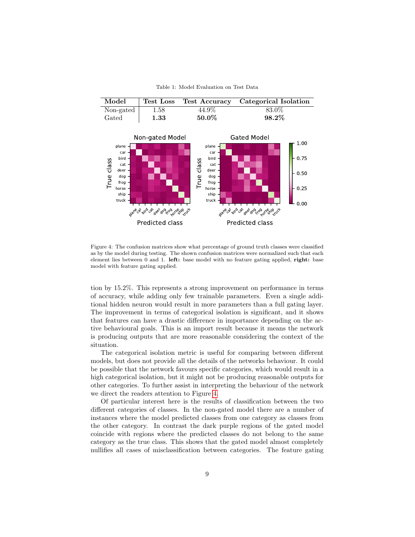Table 1: Model Evaluation on Test Data

<span id="page-8-0"></span>

| Model                  | Test Loss |          | Test Accuracy Categorical Isolation |
|------------------------|-----------|----------|-------------------------------------|
| Non-gated $ $          | 1.58      | 44.9%    | 83.0%                               |
| $\operatorname{Gated}$ | 1.33      | $50.0\%$ | $98.2\%$                            |
|                        |           |          |                                     |

<span id="page-8-1"></span>

Figure 4: The confusion matrices show what percentage of ground truth classes were classified as by the model during testing. The shown confusion matrices were normalized such that each element lies between 0 and 1. left: base model with no feature gating applied, right: base model with feature gating applied.

tion by 15.2%. This represents a strong improvement on performance in terms of accuracy, while adding only few trainable parameters. Even a single additional hidden neuron would result in more parameters than a full gating layer. The improvement in terms of categorical isolation is significant, and it shows that features can have a drastic difference in importance depending on the active behavioural goals. This is an import result because it means the network is producing outputs that are more reasonable considering the context of the situation.

The categorical isolation metric is useful for comparing between different models, but does not provide all the details of the networks behaviour. It could be possible that the network favours specific categories, which would result in a high categorical isolation, but it might not be producing reasonable outputs for other categories. To further assist in interpreting the behaviour of the network we direct the readers attention to Figure [4.](#page-8-1)

Of particular interest here is the results of classification between the two different categories of classes. In the non-gated model there are a number of instances where the model predicted classes from one category as classes from the other category. In contrast the dark purple regions of the gated model coincide with regions where the predicted classes do not belong to the same category as the true class. This shows that the gated model almost completely nullifies all cases of misclassification between categories. The feature gating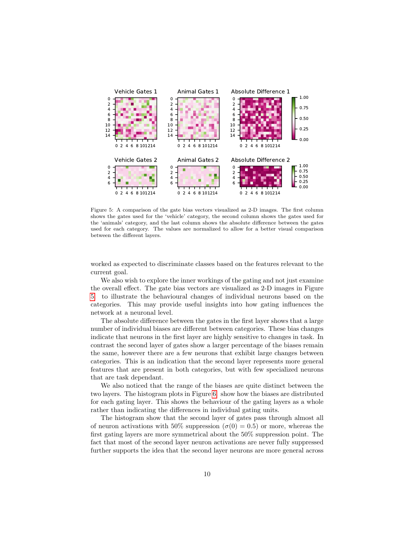<span id="page-9-0"></span>

Figure 5: A comparison of the gate bias vectors visualized as 2-D images. The first column shows the gates used for the 'vehicle' category, the second column shows the gates used for the 'animals' category, and the last column shows the absolute difference between the gates used for each category. The values are normalized to allow for a better visual comparison between the different layers.

worked as expected to discriminate classes based on the features relevant to the current goal.

We also wish to explore the inner workings of the gating and not just examine the overall effect. The gate bias vectors are visualized as 2-D images in Figure [5.](#page-9-0) to illustrate the behavioural changes of individual neurons based on the categories. This may provide useful insights into how gating influences the network at a neuronal level.

The absolute difference between the gates in the first layer shows that a large number of individual biases are different between categories. These bias changes indicate that neurons in the first layer are highly sensitive to changes in task. In contrast the second layer of gates show a larger percentage of the biases remain the same, however there are a few neurons that exhibit large changes between categories. This is an indication that the second layer represents more general features that are present in both categories, but with few specialized neurons that are task dependant.

We also noticed that the range of the biases are quite distinct between the two layers. The histogram plots in Figure [6.](#page-10-0) show how the biases are distributed for each gating layer. This shows the behaviour of the gating layers as a whole rather than indicating the differences in individual gating units.

The histogram show that the second layer of gates pass through almost all of neuron activations with 50% suppression  $(\sigma(0) = 0.5)$  or more, whereas the first gating layers are more symmetrical about the 50% suppression point. The fact that most of the second layer neuron activations are never fully suppressed further supports the idea that the second layer neurons are more general across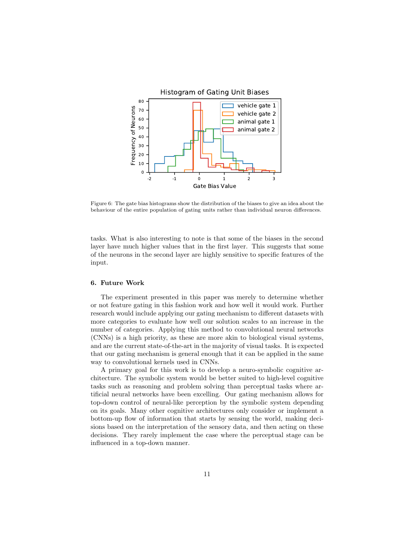<span id="page-10-0"></span>

Figure 6: The gate bias histograms show the distribution of the biases to give an idea about the behaviour of the entire population of gating units rather than individual neuron differences.

tasks. What is also interesting to note is that some of the biases in the second layer have much higher values that in the first layer. This suggests that some of the neurons in the second layer are highly sensitive to specific features of the input.

# 6. Future Work

The experiment presented in this paper was merely to determine whether or not feature gating in this fashion work and how well it would work. Further research would include applying our gating mechanism to different datasets with more categories to evaluate how well our solution scales to an increase in the number of categories. Applying this method to convolutional neural networks (CNNs) is a high priority, as these are more akin to biological visual systems, and are the current state-of-the-art in the majority of visual tasks. It is expected that our gating mechanism is general enough that it can be applied in the same way to convolutional kernels used in CNNs.

A primary goal for this work is to develop a neuro-symbolic cognitive architecture. The symbolic system would be better suited to high-level cognitive tasks such as reasoning and problem solving than perceptual tasks where artificial neural networks have been excelling. Our gating mechanism allows for top-down control of neural-like perception by the symbolic system depending on its goals. Many other cognitive architectures only consider or implement a bottom-up flow of information that starts by sensing the world, making decisions based on the interpretation of the sensory data, and then acting on these decisions. They rarely implement the case where the perceptual stage can be influenced in a top-down manner.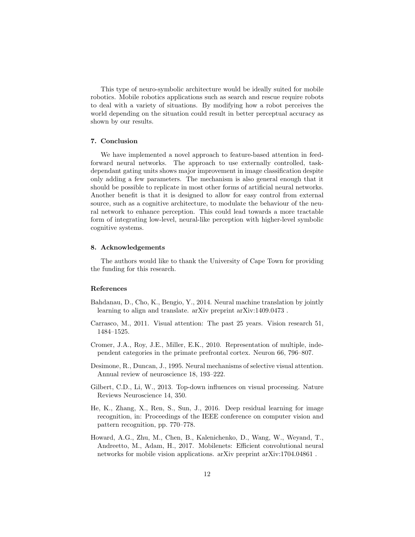This type of neuro-symbolic architecture would be ideally suited for mobile robotics. Mobile robotics applications such as search and rescue require robots to deal with a variety of situations. By modifying how a robot perceives the world depending on the situation could result in better perceptual accuracy as shown by our results.

# <span id="page-11-4"></span>7. Conclusion

We have implemented a novel approach to feature-based attention in feedforward neural networks. The approach to use externally controlled, taskdependant gating units shows major improvement in image classification despite only adding a few parameters. The mechanism is also general enough that it should be possible to replicate in most other forms of artificial neural networks. Another benefit is that it is designed to allow for easy control from external source, such as a cognitive architecture, to modulate the behaviour of the neural network to enhance perception. This could lead towards a more tractable form of integrating low-level, neural-like perception with higher-level symbolic cognitive systems.

## 8. Acknowledgements

The authors would like to thank the University of Cape Town for providing the funding for this research.

# References

- <span id="page-11-6"></span>Bahdanau, D., Cho, K., Bengio, Y., 2014. Neural machine translation by jointly learning to align and translate. arXiv preprint arXiv:1409.0473 .
- <span id="page-11-3"></span>Carrasco, M., 2011. Visual attention: The past 25 years. Vision research 51, 1484–1525.
- <span id="page-11-7"></span>Cromer, J.A., Roy, J.E., Miller, E.K., 2010. Representation of multiple, independent categories in the primate prefrontal cortex. Neuron 66, 796–807.
- <span id="page-11-2"></span>Desimone, R., Duncan, J., 1995. Neural mechanisms of selective visual attention. Annual review of neuroscience 18, 193–222.
- <span id="page-11-5"></span>Gilbert, C.D., Li, W., 2013. Top-down influences on visual processing. Nature Reviews Neuroscience 14, 350.
- <span id="page-11-0"></span>He, K., Zhang, X., Ren, S., Sun, J., 2016. Deep residual learning for image recognition, in: Proceedings of the IEEE conference on computer vision and pattern recognition, pp. 770–778.
- <span id="page-11-1"></span>Howard, A.G., Zhu, M., Chen, B., Kalenichenko, D., Wang, W., Weyand, T., Andreetto, M., Adam, H., 2017. Mobilenets: Efficient convolutional neural networks for mobile vision applications. arXiv preprint arXiv:1704.04861 .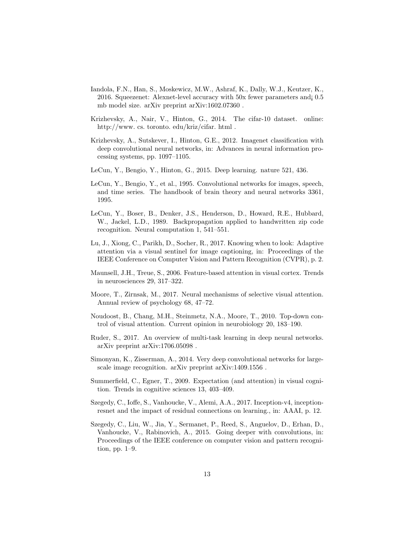- <span id="page-12-7"></span>Iandola, F.N., Han, S., Moskewicz, M.W., Ashraf, K., Dally, W.J., Keutzer, K., 2016. Squeezenet: Alexnet-level accuracy with 50x fewer parameters and¡ 0.5 mb model size. arXiv preprint arXiv:1602.07360 .
- <span id="page-12-14"></span>Krizhevsky, A., Nair, V., Hinton, G., 2014. The cifar-10 dataset. online: http://www. cs. toronto. edu/kriz/cifar. html .
- <span id="page-12-4"></span>Krizhevsky, A., Sutskever, I., Hinton, G.E., 2012. Imagenet classification with deep convolutional neural networks, in: Advances in neural information processing systems, pp. 1097–1105.
- <span id="page-12-0"></span>LeCun, Y., Bengio, Y., Hinton, G., 2015. Deep learning. nature 521, 436.
- <span id="page-12-3"></span>LeCun, Y., Bengio, Y., et al., 1995. Convolutional networks for images, speech, and time series. The handbook of brain theory and neural networks 3361, 1995.
- <span id="page-12-2"></span>LeCun, Y., Boser, B., Denker, J.S., Henderson, D., Howard, R.E., Hubbard, W., Jackel, L.D., 1989. Backpropagation applied to handwritten zip code recognition. Neural computation 1, 541–551.
- <span id="page-12-11"></span>Lu, J., Xiong, C., Parikh, D., Socher, R., 2017. Knowing when to look: Adaptive attention via a visual sentinel for image captioning, in: Proceedings of the IEEE Conference on Computer Vision and Pattern Recognition (CVPR), p. 2.
- <span id="page-12-12"></span>Maunsell, J.H., Treue, S., 2006. Feature-based attention in visual cortex. Trends in neurosciences 29, 317–322.
- <span id="page-12-9"></span>Moore, T., Zirnsak, M., 2017. Neural mechanisms of selective visual attention. Annual review of psychology 68, 47–72.
- <span id="page-12-10"></span>Noudoost, B., Chang, M.H., Steinmetz, N.A., Moore, T., 2010. Top-down control of visual attention. Current opinion in neurobiology 20, 183–190.
- <span id="page-12-13"></span>Ruder, S., 2017. An overview of multi-task learning in deep neural networks. arXiv preprint arXiv:1706.05098 .
- <span id="page-12-5"></span>Simonyan, K., Zisserman, A., 2014. Very deep convolutional networks for largescale image recognition. arXiv preprint arXiv:1409.1556 .
- <span id="page-12-8"></span>Summerfield, C., Egner, T., 2009. Expectation (and attention) in visual cognition. Trends in cognitive sciences 13, 403–409.
- <span id="page-12-6"></span>Szegedy, C., Ioffe, S., Vanhoucke, V., Alemi, A.A., 2017. Inception-v4, inceptionresnet and the impact of residual connections on learning., in: AAAI, p. 12.
- <span id="page-12-1"></span>Szegedy, C., Liu, W., Jia, Y., Sermanet, P., Reed, S., Anguelov, D., Erhan, D., Vanhoucke, V., Rabinovich, A., 2015. Going deeper with convolutions, in: Proceedings of the IEEE conference on computer vision and pattern recognition, pp. 1–9.